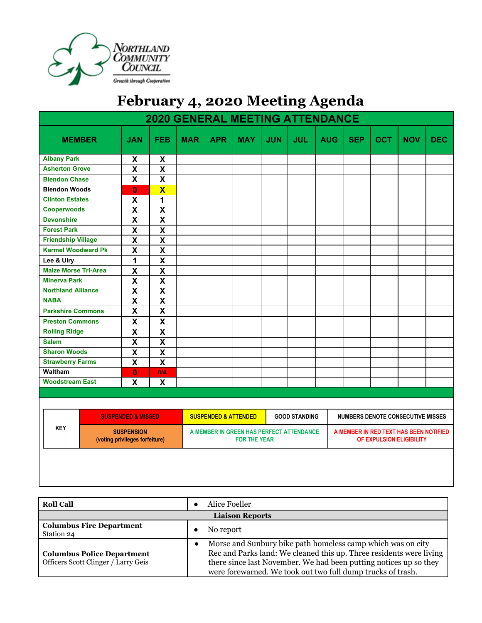

## **February 4, 2020 Meeting Agenda**

| <b>2020 GENERAL MEETING ATTENDANCE</b> |                                                     |                               |                           |            |                                                                 |            |            |            |                                          |                                                                    |            |            |            |
|----------------------------------------|-----------------------------------------------------|-------------------------------|---------------------------|------------|-----------------------------------------------------------------|------------|------------|------------|------------------------------------------|--------------------------------------------------------------------|------------|------------|------------|
| <b>MEMBER</b>                          |                                                     | <b>JAN</b>                    | <b>FEB</b>                | <b>MAR</b> | <b>APR</b>                                                      | <b>MAY</b> | <b>JUN</b> | <b>JUL</b> | <b>AUG</b>                               | <b>SEP</b>                                                         | <b>OCT</b> | <b>NOV</b> | <b>DEC</b> |
| <b>Albany Park</b>                     |                                                     | X                             | X                         |            |                                                                 |            |            |            |                                          |                                                                    |            |            |            |
| <b>Asherton Grove</b>                  |                                                     | $\boldsymbol{\mathsf{X}}$     | $\boldsymbol{\mathsf{x}}$ |            |                                                                 |            |            |            |                                          |                                                                    |            |            |            |
| <b>Blendon Chase</b>                   |                                                     | X                             | X                         |            |                                                                 |            |            |            |                                          |                                                                    |            |            |            |
| <b>Blendon Woods</b>                   |                                                     | $\mathbf{0}$                  | $\overline{\mathbf{X}}$   |            |                                                                 |            |            |            |                                          |                                                                    |            |            |            |
| <b>Clinton Estates</b>                 |                                                     | $\boldsymbol{\mathsf{X}}$     | 1                         |            |                                                                 |            |            |            |                                          |                                                                    |            |            |            |
| <b>Cooperwoods</b>                     |                                                     | $\mathsf{\overline{X}}$       | $\mathsf{\overline{X}}$   |            |                                                                 |            |            |            |                                          |                                                                    |            |            |            |
| <b>Devonshire</b>                      |                                                     | $\mathsf{\overline{X}}$       | $\mathsf{\overline{X}}$   |            |                                                                 |            |            |            |                                          |                                                                    |            |            |            |
| <b>Forest Park</b>                     |                                                     | $\mathsf{\overline{X}}$       | $\boldsymbol{\mathsf{X}}$ |            |                                                                 |            |            |            |                                          |                                                                    |            |            |            |
| <b>Friendship Village</b>              |                                                     | $\overline{\mathsf{X}}$       | $\boldsymbol{\mathsf{X}}$ |            |                                                                 |            |            |            |                                          |                                                                    |            |            |            |
| <b>Karmel Woodward Pk</b>              |                                                     | $\overline{\mathsf{X}}$       | $\overline{\mathsf{X}}$   |            |                                                                 |            |            |            |                                          |                                                                    |            |            |            |
| Lee & Ulry                             |                                                     | $\mathbf{1}$                  | $\mathsf{\overline{X}}$   |            |                                                                 |            |            |            |                                          |                                                                    |            |            |            |
| <b>Maize Morse Tri-Area</b>            |                                                     | $\mathsf{\overline{X}}$       | $\mathsf{\overline{X}}$   |            |                                                                 |            |            |            |                                          |                                                                    |            |            |            |
| <b>Minerva Park</b>                    |                                                     | $\mathsf{\overline{X}}$       | $\mathsf{\overline{X}}$   |            |                                                                 |            |            |            |                                          |                                                                    |            |            |            |
| <b>Northland Alliance</b>              |                                                     | $\mathsf{X}$                  | $\mathsf{X}$              |            |                                                                 |            |            |            |                                          |                                                                    |            |            |            |
| <b>NABA</b>                            |                                                     | $\mathsf{X}$                  | $\mathsf{X}$              |            |                                                                 |            |            |            |                                          |                                                                    |            |            |            |
| <b>Parkshire Commons</b>               |                                                     | $\boldsymbol{\mathsf{X}}$     | $\boldsymbol{\mathsf{X}}$ |            |                                                                 |            |            |            |                                          |                                                                    |            |            |            |
| <b>Preston Commons</b>                 |                                                     | X                             | $\boldsymbol{\mathsf{X}}$ |            |                                                                 |            |            |            |                                          |                                                                    |            |            |            |
| <b>Rolling Ridge</b>                   |                                                     | $\mathsf{X}$                  | $\mathsf{X}$              |            |                                                                 |            |            |            |                                          |                                                                    |            |            |            |
| <b>Salem</b>                           |                                                     | $\overline{\mathbf{X}}$       | $\overline{\mathbf{X}}$   |            |                                                                 |            |            |            |                                          |                                                                    |            |            |            |
| <b>Sharon Woods</b>                    |                                                     | $\overline{\mathbf{X}}$       | $\mathsf{X}$              |            |                                                                 |            |            |            |                                          |                                                                    |            |            |            |
| <b>Strawberry Farms</b>                |                                                     | $\mathsf{\overline{X}}$       | $\mathsf{\overline{X}}$   |            |                                                                 |            |            |            |                                          |                                                                    |            |            |            |
| Waltham                                |                                                     | $\bf{0}$                      | n/a                       |            |                                                                 |            |            |            |                                          |                                                                    |            |            |            |
| <b>Woodstream East</b>                 |                                                     | X                             | X                         |            |                                                                 |            |            |            |                                          |                                                                    |            |            |            |
|                                        |                                                     |                               |                           |            |                                                                 |            |            |            |                                          |                                                                    |            |            |            |
|                                        |                                                     |                               |                           |            |                                                                 |            |            |            |                                          |                                                                    |            |            |            |
|                                        |                                                     | <b>SUSPENDED &amp; MISSED</b> |                           |            | <b>SUSPENDED &amp; ATTENDED</b><br><b>GOOD STANDING</b>         |            |            |            | <b>NUMBERS DENOTE CONSECUTIVE MISSES</b> |                                                                    |            |            |            |
| <b>KEY</b>                             | <b>SUSPENSION</b><br>(voting privileges forfeiture) |                               |                           |            | A MEMBER IN GREEN HAS PERFECT ATTENDANCE<br><b>FOR THE YEAR</b> |            |            |            |                                          | A MEMBER IN RED TEXT HAS BEEN NOTIFIED<br>OF EXPULSION ELIGIBILITY |            |            |            |
|                                        |                                                     |                               |                           |            |                                                                 |            |            |            |                                          |                                                                    |            |            |            |

| <b>Roll Call</b>                                                         | Alice Foeller                                                                                                                                                                                                                                                          |  |  |  |
|--------------------------------------------------------------------------|------------------------------------------------------------------------------------------------------------------------------------------------------------------------------------------------------------------------------------------------------------------------|--|--|--|
| <b>Liaison Reports</b>                                                   |                                                                                                                                                                                                                                                                        |  |  |  |
| <b>Columbus Fire Department</b><br>Station 24                            | No report                                                                                                                                                                                                                                                              |  |  |  |
| <b>Columbus Police Department</b><br>Officers Scott Clinger / Larry Geis | Morse and Sunbury bike path homeless camp which was on city<br>Rec and Parks land: We cleaned this up. Three residents were living<br>there since last November. We had been putting notices up so they<br>were forewarned. We took out two full dump trucks of trash. |  |  |  |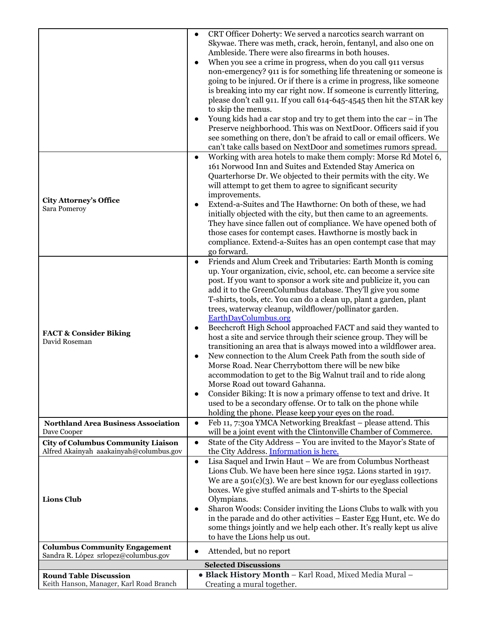|                                                                          | CRT Officer Doherty: We served a narcotics search warrant on<br>$\bullet$            |
|--------------------------------------------------------------------------|--------------------------------------------------------------------------------------|
|                                                                          | Skywae. There was meth, crack, heroin, fentanyl, and also one on                     |
|                                                                          | Ambleside. There were also firearms in both houses.                                  |
|                                                                          | When you see a crime in progress, when do you call 911 versus                        |
|                                                                          | non-emergency? 911 is for something life threatening or someone is                   |
|                                                                          | going to be injured. Or if there is a crime in progress, like someone                |
|                                                                          | is breaking into my car right now. If someone is currently littering,                |
|                                                                          |                                                                                      |
|                                                                          | please don't call 911. If you call 614-645-4545 then hit the STAR key                |
|                                                                          | to skip the menus.                                                                   |
|                                                                          | Young kids had a car stop and try to get them into the car $-$ in The                |
|                                                                          | Preserve neighborhood. This was on NextDoor. Officers said if you                    |
|                                                                          | see something on there, don't be afraid to call or email officers. We                |
|                                                                          | can't take calls based on NextDoor and sometimes rumors spread.                      |
|                                                                          | Working with area hotels to make them comply: Morse Rd Motel 6,<br>$\bullet$         |
|                                                                          | 161 Norwood Inn and Suites and Extended Stay America on                              |
|                                                                          | Quarterhorse Dr. We objected to their permits with the city. We                      |
|                                                                          | will attempt to get them to agree to significant security                            |
|                                                                          | improvements.                                                                        |
| <b>City Attorney's Office</b><br>Sara Pomeroy                            | Extend-a-Suites and The Hawthorne: On both of these, we had                          |
|                                                                          | initially objected with the city, but then came to an agreements.                    |
|                                                                          | They have since fallen out of compliance. We have opened both of                     |
|                                                                          | those cases for contempt cases. Hawthorne is mostly back in                          |
|                                                                          | compliance. Extend-a-Suites has an open contempt case that may                       |
|                                                                          | go forward.                                                                          |
|                                                                          | Friends and Alum Creek and Tributaries: Earth Month is coming<br>$\bullet$           |
|                                                                          | up. Your organization, civic, school, etc. can become a service site                 |
|                                                                          | post. If you want to sponsor a work site and publicize it, you can                   |
|                                                                          | add it to the GreenColumbus database. They'll give you some                          |
|                                                                          | T-shirts, tools, etc. You can do a clean up, plant a garden, plant                   |
|                                                                          | trees, waterway cleanup, wildflower/pollinator garden.                               |
|                                                                          | <b>EarthDayColumbus.org</b>                                                          |
|                                                                          | Beechcroft High School approached FACT and said they wanted to<br>$\bullet$          |
| <b>FACT &amp; Consider Biking</b>                                        | host a site and service through their science group. They will be                    |
| David Roseman                                                            | transitioning an area that is always mowed into a wildflower area.                   |
|                                                                          | New connection to the Alum Creek Path from the south side of<br>$\bullet$            |
|                                                                          | Morse Road. Near Cherrybottom there will be new bike                                 |
|                                                                          | accommodation to get to the Big Walnut trail and to ride along                       |
|                                                                          | Morse Road out toward Gahanna.                                                       |
|                                                                          | Consider Biking: It is now a primary offense to text and drive. It                   |
|                                                                          | $\bullet$<br>used to be a secondary offense. Or to talk on the phone while           |
|                                                                          |                                                                                      |
|                                                                          | holding the phone. Please keep your eyes on the road.                                |
| <b>Northland Area Business Association</b><br>Dave Cooper                | Feb 11, 7:30a YMCA Networking Breakfast - please attend. This<br>$\bullet$           |
|                                                                          | will be a joint event with the Clintonville Chamber of Commerce.                     |
| <b>City of Columbus Community Liaison</b>                                | State of the City Address - You are invited to the Mayor's State of<br>$\bullet$     |
| Alfred Akainyah aaakainyah@columbus.gov                                  | the City Address. Information is here.                                               |
|                                                                          | Lisa Saquel and Irwin Haut - We are from Columbus Northeast<br>$\bullet$             |
|                                                                          | Lions Club. We have been here since 1952. Lions started in 1917.                     |
|                                                                          | We are a $501(c)(3)$ . We are best known for our eyeglass collections                |
|                                                                          | boxes. We give stuffed animals and T-shirts to the Special                           |
| <b>Lions Club</b>                                                        | Olympians.                                                                           |
|                                                                          | Sharon Woods: Consider inviting the Lions Clubs to walk with you                     |
|                                                                          | in the parade and do other activities - Easter Egg Hunt, etc. We do                  |
|                                                                          | some things jointly and we help each other. It's really kept us alive                |
|                                                                          | to have the Lions help us out.                                                       |
| <b>Columbus Community Engagement</b>                                     | Attended, but no report<br>$\bullet$                                                 |
| Sandra R. López srlopez@columbus.gov                                     | <b>Selected Discussions</b>                                                          |
|                                                                          |                                                                                      |
| <b>Round Table Discussion</b><br>Keith Hanson, Manager, Karl Road Branch | · Black History Month - Karl Road, Mixed Media Mural -<br>Creating a mural together. |
|                                                                          |                                                                                      |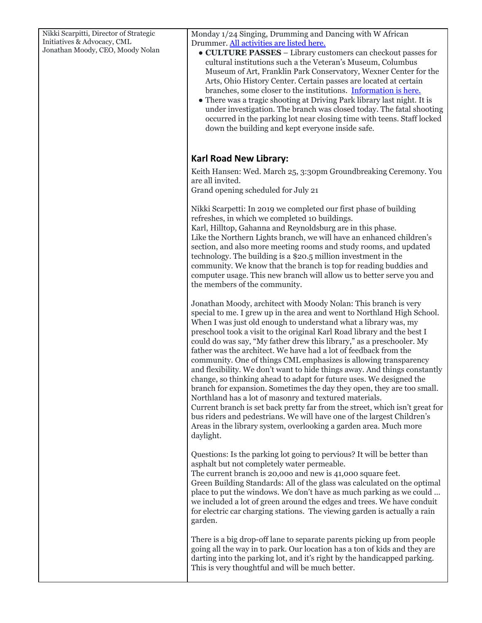| Nikki Scarpitti, Director of Strategic<br>Initiatives & Advocacy, CML<br>Jonathan Moody, CEO, Moody Nolan | Monday 1/24 Singing, Drumming and Dancing with W African<br>Drummer. All activities are listed here.<br>• CULTURE PASSES - Library customers can checkout passes for<br>cultural institutions such a the Veteran's Museum, Columbus<br>Museum of Art, Franklin Park Conservatory, Wexner Center for the<br>Arts, Ohio History Center. Certain passes are located at certain<br>branches, some closer to the institutions. Information is here.<br>• There was a tragic shooting at Driving Park library last night. It is<br>under investigation. The branch was closed today. The fatal shooting<br>occurred in the parking lot near closing time with teens. Staff locked<br>down the building and kept everyone inside safe.                                                                                                                                                                                                                                                                                                               |
|-----------------------------------------------------------------------------------------------------------|-----------------------------------------------------------------------------------------------------------------------------------------------------------------------------------------------------------------------------------------------------------------------------------------------------------------------------------------------------------------------------------------------------------------------------------------------------------------------------------------------------------------------------------------------------------------------------------------------------------------------------------------------------------------------------------------------------------------------------------------------------------------------------------------------------------------------------------------------------------------------------------------------------------------------------------------------------------------------------------------------------------------------------------------------|
|                                                                                                           | <b>Karl Road New Library:</b><br>Keith Hansen: Wed. March 25, 3:30pm Groundbreaking Ceremony. You<br>are all invited.<br>Grand opening scheduled for July 21                                                                                                                                                                                                                                                                                                                                                                                                                                                                                                                                                                                                                                                                                                                                                                                                                                                                                  |
|                                                                                                           | Nikki Scarpetti: In 2019 we completed our first phase of building<br>refreshes, in which we completed 10 buildings.<br>Karl, Hilltop, Gahanna and Reynoldsburg are in this phase.<br>Like the Northern Lights branch, we will have an enhanced children's<br>section, and also more meeting rooms and study rooms, and updated<br>technology. The building is a \$20.5 million investment in the<br>community. We know that the branch is top for reading buddies and<br>computer usage. This new branch will allow us to better serve you and<br>the members of the community.                                                                                                                                                                                                                                                                                                                                                                                                                                                               |
|                                                                                                           | Jonathan Moody, architect with Moody Nolan: This branch is very<br>special to me. I grew up in the area and went to Northland High School.<br>When I was just old enough to understand what a library was, my<br>preschool took a visit to the original Karl Road library and the best I<br>could do was say, "My father drew this library," as a preschooler. My<br>father was the architect. We have had a lot of feedback from the<br>community. One of things CML emphasizes is allowing transparency<br>and flexibility. We don't want to hide things away. And things constantly<br>change, so thinking ahead to adapt for future uses. We designed the<br>branch for expansion. Sometimes the day they open, they are too small.<br>Northland has a lot of masonry and textured materials.<br>Current branch is set back pretty far from the street, which isn't great for<br>bus riders and pedestrians. We will have one of the largest Children's<br>Areas in the library system, overlooking a garden area. Much more<br>daylight. |
|                                                                                                           | Questions: Is the parking lot going to pervious? It will be better than<br>asphalt but not completely water permeable.<br>The current branch is 20,000 and new is 41,000 square feet.<br>Green Building Standards: All of the glass was calculated on the optimal<br>place to put the windows. We don't have as much parking as we could<br>we included a lot of green around the edges and trees. We have conduit<br>for electric car charging stations. The viewing garden is actually a rain<br>garden.                                                                                                                                                                                                                                                                                                                                                                                                                                                                                                                                    |
|                                                                                                           | There is a big drop-off lane to separate parents picking up from people<br>going all the way in to park. Our location has a ton of kids and they are<br>darting into the parking lot, and it's right by the handicapped parking.<br>This is very thoughtful and will be much better.                                                                                                                                                                                                                                                                                                                                                                                                                                                                                                                                                                                                                                                                                                                                                          |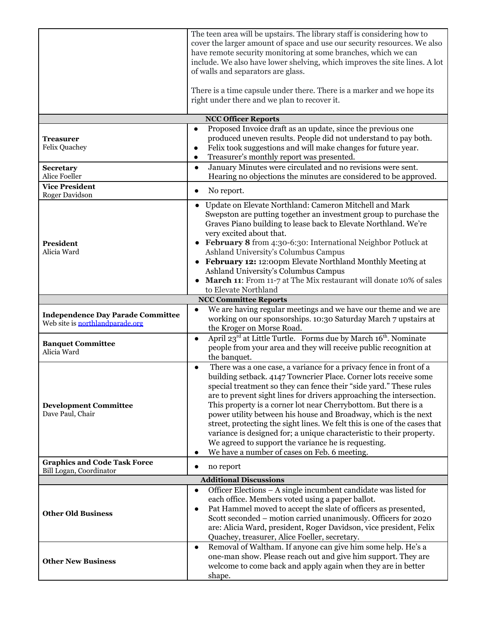|                                                                             | The teen area will be upstairs. The library staff is considering how to<br>cover the larger amount of space and use our security resources. We also<br>have remote security monitoring at some branches, which we can<br>include. We also have lower shelving, which improves the site lines. A lot<br>of walls and separators are glass.<br>There is a time capsule under there. There is a marker and we hope its<br>right under there and we plan to recover it.                                                                                                                                                                                                                                 |  |  |  |  |  |
|-----------------------------------------------------------------------------|-----------------------------------------------------------------------------------------------------------------------------------------------------------------------------------------------------------------------------------------------------------------------------------------------------------------------------------------------------------------------------------------------------------------------------------------------------------------------------------------------------------------------------------------------------------------------------------------------------------------------------------------------------------------------------------------------------|--|--|--|--|--|
|                                                                             |                                                                                                                                                                                                                                                                                                                                                                                                                                                                                                                                                                                                                                                                                                     |  |  |  |  |  |
|                                                                             | <b>NCC Officer Reports</b>                                                                                                                                                                                                                                                                                                                                                                                                                                                                                                                                                                                                                                                                          |  |  |  |  |  |
| Treasurer<br><b>Felix Quachey</b>                                           | Proposed Invoice draft as an update, since the previous one<br>$\bullet$<br>produced uneven results. People did not understand to pay both.<br>Felix took suggestions and will make changes for future year.<br>$\bullet$<br>Treasurer's monthly report was presented.<br>$\bullet$                                                                                                                                                                                                                                                                                                                                                                                                                 |  |  |  |  |  |
| <b>Secretary</b><br>Alice Foeller                                           | January Minutes were circulated and no revisions were sent.<br>$\bullet$<br>Hearing no objections the minutes are considered to be approved.                                                                                                                                                                                                                                                                                                                                                                                                                                                                                                                                                        |  |  |  |  |  |
| <b>Vice President</b>                                                       |                                                                                                                                                                                                                                                                                                                                                                                                                                                                                                                                                                                                                                                                                                     |  |  |  |  |  |
| Roger Davidson                                                              | No report.<br>$\bullet$                                                                                                                                                                                                                                                                                                                                                                                                                                                                                                                                                                                                                                                                             |  |  |  |  |  |
|                                                                             | Update on Elevate Northland: Cameron Mitchell and Mark<br>$\bullet$<br>Swepston are putting together an investment group to purchase the<br>Graves Piano building to lease back to Elevate Northland. We're<br>very excited about that.                                                                                                                                                                                                                                                                                                                                                                                                                                                             |  |  |  |  |  |
| <b>President</b><br>Alicia Ward                                             | February 8 from 4:30-6:30: International Neighbor Potluck at<br>Ashland University's Columbus Campus<br>February 12: 12:00pm Elevate Northland Monthly Meeting at<br>Ashland University's Columbus Campus<br>March 11: From 11-7 at The Mix restaurant will donate 10% of sales<br>to Elevate Northland                                                                                                                                                                                                                                                                                                                                                                                             |  |  |  |  |  |
|                                                                             | <b>NCC Committee Reports</b>                                                                                                                                                                                                                                                                                                                                                                                                                                                                                                                                                                                                                                                                        |  |  |  |  |  |
| <b>Independence Day Parade Committee</b><br>Web site is northlandparade.org | We are having regular meetings and we have our theme and we are<br>$\bullet$<br>working on our sponsorships. 10:30 Saturday March 7 upstairs at<br>the Kroger on Morse Road.                                                                                                                                                                                                                                                                                                                                                                                                                                                                                                                        |  |  |  |  |  |
| <b>Banquet Committee</b><br>Alicia Ward                                     | April 23rd at Little Turtle. Forms due by March 16 <sup>th</sup> . Nominate<br>$\bullet$<br>people from your area and they will receive public recognition at<br>the banquet.                                                                                                                                                                                                                                                                                                                                                                                                                                                                                                                       |  |  |  |  |  |
| <b>Development Committee</b><br>Dave Paul, Chair                            | There was a one case, a variance for a privacy fence in front of a<br>$\bullet$<br>building setback. 4147 Towncrier Place. Corner lots receive some<br>special treatment so they can fence their "side yard." These rules<br>are to prevent sight lines for drivers approaching the intersection.<br>This property is a corner lot near Cherrybottom. But there is a<br>power utility between his house and Broadway, which is the next<br>street, protecting the sight lines. We felt this is one of the cases that<br>variance is designed for; a unique characteristic to their property.<br>We agreed to support the variance he is requesting.<br>We have a number of cases on Feb. 6 meeting. |  |  |  |  |  |
| <b>Graphics and Code Task Force</b><br>Bill Logan, Coordinator              | no report                                                                                                                                                                                                                                                                                                                                                                                                                                                                                                                                                                                                                                                                                           |  |  |  |  |  |
| <b>Additional Discussions</b>                                               |                                                                                                                                                                                                                                                                                                                                                                                                                                                                                                                                                                                                                                                                                                     |  |  |  |  |  |
| <b>Other Old Business</b>                                                   | Officer Elections – A single incumbent candidate was listed for<br>each office. Members voted using a paper ballot.<br>Pat Hammel moved to accept the slate of officers as presented,<br>Scott seconded – motion carried unanimously. Officers for 2020<br>are: Alicia Ward, president, Roger Davidson, vice president, Felix<br>Quachey, treasurer, Alice Foeller, secretary.                                                                                                                                                                                                                                                                                                                      |  |  |  |  |  |
| <b>Other New Business</b>                                                   | Removal of Waltham. If anyone can give him some help. He's a<br>$\bullet$<br>one-man show. Please reach out and give him support. They are<br>welcome to come back and apply again when they are in better<br>shape.                                                                                                                                                                                                                                                                                                                                                                                                                                                                                |  |  |  |  |  |